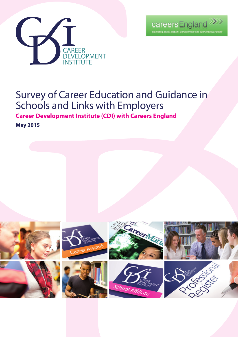



# Survey of Career Education and Guidance in Schools and Links with Employers

**Career Development Institute (CDI) with Careers England** 

**May 2015**

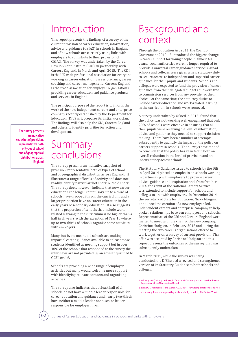### Introduction

This report presents the findings of a survey of the current provision of career education, information, advice and guidance (CEIAG) in schools in England, and of how schools are currently using links with employers to contribute to their provision of CEIAG. The survey was undertaken by the Career Development Institute (CDI), in partnership with Careers England, in March and April 2015. The CDI is the UK-wide professional association for everyone working in career education, career guidance, career coaching and career management. Careers England is the trade association for employer organisations providing career education and guidance products and services in England.

The principal purpose of the report is to inform the work of the new independent careers and enterprise company recently established by the Department for Education (DfE) as it prepares its initial work plan. The findings will also help the CDI, Careers England and others to identify priorities for action and development.

**The survey presents an indicative snapshot of provision, representative both of types of school and of geographical distribution across England**

## Summary conclusions

The survey presents an indicative snapshot of provision, representative both of types of school and of geographical distribution across England. It illustrates a range of levels of activity and does not readily identify particular 'hot spots' or 'cold spots'. The survey does, however, indicate that now career education is no longer compulsory, up to a third of schools have dropped it from the curriculum, and a larger proportion have no career education in the early years of secondary education. It also suggests that the proportion of schools that include workrelated learning in the curriculum is no higher than a half in all years, with the exception of Year 10 where up to two-thirds of schools organise some activities with employers.

Many, but by no means all, schools are making impartial career guidance available to at least those students identified as needing support but in over 40% of the schools that responded to the survey the interviews are not provided by an adviser qualified to QCF Level 6.

Schools are providing a wide range of employer activities but many would welcome more support with identifying relevant contacts and organising activities.

The survey also indicates that at least half of all schools do not have a middle leader responsible for career education and guidance and nearly two-thirds have neither a middle leader nor a senior leader responsible for employer links.

### Background and context

Through the Education Act 2011, the Coalition Government 2010-15 introduced the biggest change in career support for young people in almost 40 years. Local authorities were no longer required to provide a universal career guidance service: instead schools and colleges were given a new statutory duty to secure access to independent and impartial career guidance for their pupils and students. Schools and colleges were expected to fund the provision of career guidance from their delegated budgets but were free to commission services from any provider of their choice. At the same time, the statutory duties to include career education and work-related learning in the curriculum in schools were removed.

A survey undertaken by Ofsted in 2013<sup>1</sup> found that the policy was not working well enough and that only 20% of schools were effective in ensuring that all their pupils were receiving the level of information, advice and guidance they needed to support decisionmaking. There have been a number of attempts subsequently to quantify the impact of the policy on careers support in schools. The surveys have tended to conclude that the policy has resulted in both an overall reduction in the level of provision and an inconsistency across schools<sup>2</sup>.

The Statutory Guidance issued to schools by the DfE in April 2014 placed an emphasis on schools working in partnership with employers to provide career advice, guidance and inspiration and, from October 2014, the remit of the National Careers Service was extended to include support for schools and colleges to link with employers. In December 2014 the Secretary of State for Education, Nicky Morgan, announced the creation of a new employer-led, independent careers and enterprise company to help broker relationships between employers and schools. Representatives of the CDI and Careers England were invited to meet with the chair of the new company, Christine Hodgson, in February 2015 and during the meeting the two careers organisations offered to work together on a survey of current provision. This offer was accepted by Christine Hodgson and this report presents the outcomes of the survey that was subsequently undertaken.

In March 2015, while the survey was being conducted, the DfE issued a revised and strengthened version of its Statutory Guidance to both schools and colleges.

<sup>1.</sup> Ofsted (2013). Going in the right direction? Careers guidance in schools from September 2012. Manchester: Ofsted

<sup>2.</sup> Hooley, T., Matheson, J. and Watts, A.G. (2014). Advancing ambitions: The role of career guidance in supporting social mobility. London: The Sutton Trust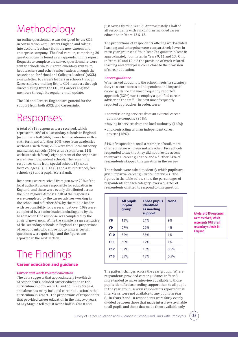# Methodology

An online questionnaire was designed by the CDI, in consultation with Careers England and taking into account feedback from the new careers and enterprise company. The final version, comprising 20 questions, can be found as an appendix to this report. Requests to complete the survey questionnaire were sent to schools via four complementary routes: to headteachers and other senior leaders through the Association for School and Colleges Leaders' (ASCL) e-newsletter; to careers leaders in schools through Careersinfo's e-mailing list; to CDI members through direct mailing from the CDI; to Careers England members through its regular e-mail update.

The CDI and Careers England are grateful for the support from both ASCL and Careersinfo.

## Responses

A total of 319 responses were received, which represents 10% of all secondary schools in England. Just under a half (46%) were from academies with a sixth form and a further 10% were from academies without a sixth form; 27% were from local authority maintained schools (16% with a sixth form, 11% without a sixth form); eight percent of the responses were from independent schools. The remaining responses came from special schools (5), sixth form colleges (5), UTCs (3) and a studio school, free schools (2) and a pupil referral unit.

Responses were received from just over 70% of the local authority areas responsible for education in England, and these were evenly distributed across the nine regions. Almost a half of the responses were completed by the career adviser working in the school and a further 38% by the middle leader with responsibility for careers. Just over 10% were completed by a senior leader, including one by the headteacher. One response was completed by the chair of governors. While the sample is representative of the secondary schools in England, the proportions of respondents who chose not to answer certain questions were quite high and the figures are reported in the next section.

# The Findings

#### **Career education and guidance**

#### *Career and work-related education*

The data suggests that approximately two-thirds of respondents included career education in the curriculum in both Years 10 and 11 in Key Stage 4, and almost as many included career education in the curriculum in Year 9. The proportions of respondents that provided career education in the first two years of Key Stage 3 fell to just over a half in Year 8 and

just over a third in Year 7. Approximately a half of all respondents with a sixth form included career education in Years 12 & 13.

The proportions of respondents offering work-related learning and enterprise were comparatively lower in most year groups: a fifth in Year 7; a quarter in Year 8; approximately four in ten in Years 9, 11 and 13. Only in Years 10 and 12 did the provision of work-related learning and enterprise come close to the provision of career education.

#### *Career guidance*

When asked about how the school meets its statutory duty to secure access to independent and impartial career guidance, the most frequently reported approach (32%) was to employ a qualified career adviser on the staff. The next most frequently reported approaches, in order, were:

- commissioning services from an external career guidance company (25%);
- buying in services from the local authority (16%);
- and contracting with an independent career adviser (16%).

24% of respondents used a member of staff, more often someone who was not a teacher. Five schools responded to say that they did not provide access to impartial career guidance and a further 24% of respondents skipped this question in the survey.

The schools were asked to identify which pupils are given impartial career guidance interviews. The figures in the table below show the percentages of respondents for each category: over a quarter of respondents omitted to respond to this question.

|            | <b>All pupils</b><br>in year<br>group | <b>Those pupils</b><br>identified<br>as needing<br>support | <b>None</b> |
|------------|---------------------------------------|------------------------------------------------------------|-------------|
| Y8         | 13%                                   | 74%                                                        | 9%          |
| Y9         | 27%                                   | 29%                                                        | 4%          |
| <b>Y10</b> | 32%                                   | 35%                                                        | 1%          |
| <b>Y11</b> | 60%                                   | 12%                                                        | 1%          |
| <b>Y12</b> | 37%                                   | 18%                                                        | 0.5%        |
| <b>Y13</b> | 35%                                   | 18%                                                        | 0.5%        |

The pattern changes across the year groups. Where respondents provided career guidance in Year 8, more tended to make interviews available to those pupils identified as needing support than to all pupils in the year group: several respondents reported that interviews were not available to any pupils in Year 8. In Years 9 and 10 respondents were fairly evenly divided between those that made interviews available to all pupils and those that made them available only

**A total of 319 responses were received, which represents 10% of all secondary schools in England**

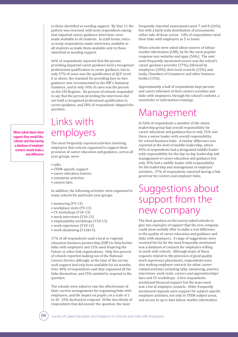to those identified as needing support. By Year 11 the pattern was reversed, with most respondents saying that impartial career guidance interviews were made available to all students. In sixth forms, twice as many respondents made interviews available to all students as made them available only to those identified as needing support.

66% of respondents reported that the person providing impartial career guidance held a recognised professional qualification in career guidance, but in only 57% of cases was the qualification at QCF Level 6 or above, the standard for providing face-to-face guidance now recommended in the DfE's Statutory Guidance, and in only 34% of cases was the person on the CDI Register. Six percent of schools responded to say that the person providing the interviews did not hold a recognised professional qualification in career guidance, and 28% of respondents skipped the question.

**When asked about what support they would like, schools said that having a database of employer contacts would make a real difference**

### Links with employers

The most frequently reported activities involving employers that schools organised to support their provision of career education and guidance, across all year groups, were:

- talks
- STEM-specific support
- career education lessons
- enterprise activities
- careers fairs.

In addition, the following activities were organised in many schools for particular year groups.

- mentoring (Y9-13)
- workplace visits (Y9-13)
- CV workshops (Y10-13)
- mock interviews (Y10-13)
- employability workshops (Y10-13)
- work experience (Y10-12)
- work shadowing (Y12&13).

17% of all respondents used a local or regional education-business partnership (EBP) to help broker links with employers and 32% used Inspiring the Future or other link organisations. Only five percent of schools reported making use of the National Careers Service although, at the time of the survey, such support had only been available for six months. Over 40% of respondents said they organised all the links themselves, and 35% omitted to respond to the question.

The schools were asked to rate the effectiveness of their current arrangements for organising links with employers, and the impact on pupils, on a scale of 1 to 10. 35% declined to respond. Of the two-thirds of respondents that did answer the question, the most

frequently reported assessments were 7 and 8 (26%), but with a fairly wide distribution of assessments either side of these scores. 14% of respondents rated their links with employers as 5 or lower.

When schools were asked about sources of labour market information (LMI), by far the most popular response was websites and apps (56%). The next most frequently mentioned source was the school's career guidance provider (37%), followed by employers (28%), then local councils (25%) and, lastly, Chambers of Commerce and other business bodies (15%).

Approximately a half of respondents kept parents and carers informed of their careers activities and links with employers, through the school's website, a newsletter or information evenings.

## Management

In 56% of respondents a member of the senior leadership group had overall responsibility for career education and guidance but in only 35% was there a senior leader with overall responsibility for school-business links. A similar difference was reported at the level of middle leadership, where 45% of respondents had a designated middle leader with responsibility for the day-to-day leadership and management of career education and guidance but only 35% had a middle leader with responsibility for the leadership and management of employer activities. 37% of respondents reported having a link governor for careers and employer links.

### Suggestions about support from the new company

The final question on the survey asked schools to give two examples of support that the new company could most usefully offer to make a real difference to the quality of career education and guidance and links with employers. A range of suggestions were received but by far the most frequently mentioned was a database of contacts for employers willing to work with schools. Although many of these requests related to the provision of good quality work experience placements, respondents were also seeking employer contacts for other careerrelated activities including talks, mentoring, practice interviews, work visits, careers and apprenticeships' fairs and CV workshops. A few respondents mentioned financial support but the main need was a list of employer contacts. Other frequently mentioned requests were support for subject-specific employer activities, not only in STEM subject areas, and access to up to date labour market information.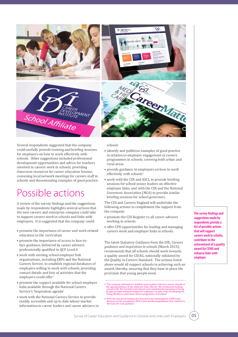

Several respondents suggested that the company could usefully provide training and briefing sessions for employers on how to work effectively with schools. Other suggestions included professional development opportunities and advice for teachers involved in careers work in schools, providing classroom resources for career education lessons, convening local network meetings for careers staff in schools and disseminating examples of good practice.

### Possible actions

A review of the survey findings and the suggestions made by respondents highlights several actions that the new careers and enterprise company could take to support careers work in schools and links with employers. It is suggested that the company could:

- promote the importance of career and work-related education in the curriculum
- promote the importance of access to face-toface guidance, delivered by career advisers professionally qualified to QCF Level 6
- work with existing school-employer link organisations, including EBPs and the National Careers Service, to establish regional databases of employers willing to work with schools, providing contact details and lists of activities that the employers could offer<sup>3</sup>
- promote the support available for school-employer links available through the National Careers Service's 'Inspiration agenda'
- work with the National Careers Service to provide readily accessible and up to date labour market information to career leaders and career advisers in

schools

- identify and publicise examples of good practice in relation to employer engagement in careers programmes in schools, covering both urban and rural areas
- provide guidance to employers on how to work effectively with schools<sup>4</sup>
- work with the CDI and ASCL to provide briefing sessions for school senior leaders on effective employer links, and with the CDI and the National Governors Association (NGA) to provide similar briefing sessions for school governors.

The CDI and Careers England will undertake the following actions to complement the support from the company:

- promote the CDI Register to all career advisers working in schools
- offer CPD opportunities for leading and managing careers work and employer links in schools.

The latest Statutory Guidance from the DfE, *Careers guidance and inspiration in schools* (March 2015), recommends that all schools should work towards a quality award for CEIAG, nationally validated by the Quality in Careers Standard. The actions listed above would all support schools in achieving such an award, thereby, ensuring that they have in place the provision that young people need.

3. The company will need to establish some quality criteria to assure schools of the appropriateness of the employer links offered. We recommend making contact with The Scottish Government and examining the Investing in Yo

**The survey findings and suggestions made by respondents provide a list of possible actions that will support careers work in schools, contribute to the achievement of a quality award for CEIAG and enhance links with employer**

05

<sup>4.</sup> Both the Chartered Institute for Personnel and Development (CIPD) and Business in the Community (BITC) have produced guidelines that could form the basis for such guidance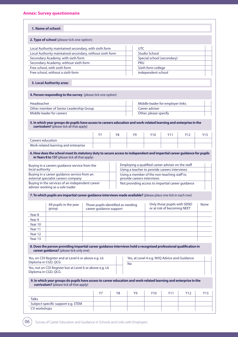|                                                              | 1. Name of school:                                                                                                                                                                                                         |  |                         |    |                                    |                                                                           |                                                            |                 |             |
|--------------------------------------------------------------|----------------------------------------------------------------------------------------------------------------------------------------------------------------------------------------------------------------------------|--|-------------------------|----|------------------------------------|---------------------------------------------------------------------------|------------------------------------------------------------|-----------------|-------------|
|                                                              | 2. Type of school (please tick one option)                                                                                                                                                                                 |  |                         |    |                                    |                                                                           |                                                            |                 |             |
|                                                              | Local Authority maintained secondary, with sixth form                                                                                                                                                                      |  |                         |    |                                    | <b>UTC</b>                                                                |                                                            |                 |             |
|                                                              | Local Authority maintained secondary, without sixth form                                                                                                                                                                   |  |                         |    |                                    | <b>Studio School</b>                                                      |                                                            |                 |             |
|                                                              | Secondary Academy, with sixth form                                                                                                                                                                                         |  |                         |    |                                    | Special school (secondary)                                                |                                                            |                 |             |
|                                                              | Secondary Academy, without sixth form                                                                                                                                                                                      |  |                         |    |                                    | <b>PRU</b>                                                                |                                                            |                 |             |
|                                                              | Free school, with sixth form                                                                                                                                                                                               |  |                         |    |                                    | Sixth form college                                                        |                                                            |                 |             |
|                                                              | Free school, without a sixth form                                                                                                                                                                                          |  |                         |    |                                    | independent school                                                        |                                                            |                 |             |
|                                                              | 3. Local Authority area:                                                                                                                                                                                                   |  |                         |    |                                    |                                                                           |                                                            |                 |             |
|                                                              | 4. Person responding to the survey (please tick one option)                                                                                                                                                                |  |                         |    |                                    |                                                                           |                                                            |                 |             |
| Headteacher                                                  |                                                                                                                                                                                                                            |  |                         |    |                                    | Middle leader for employer links                                          |                                                            |                 |             |
|                                                              | Other member of Senior Leadership Group                                                                                                                                                                                    |  |                         |    |                                    | Career adviser                                                            |                                                            |                 |             |
|                                                              | Middle leader for careers                                                                                                                                                                                                  |  |                         |    |                                    | Other, please specify                                                     |                                                            |                 |             |
|                                                              | 5. In which year groups do pupils have access to careers education and work-related learning and enterprise in the<br>curriculum? (please tick all that apply)                                                             |  |                         |    |                                    |                                                                           |                                                            |                 |             |
|                                                              |                                                                                                                                                                                                                            |  | Y7                      | Y8 | Y9                                 | Y10                                                                       | Y11                                                        | Y <sub>12</sub> | Y13         |
| <b>Careers education</b>                                     |                                                                                                                                                                                                                            |  |                         |    |                                    |                                                                           |                                                            |                 |             |
|                                                              | Work-related learning and enterprise                                                                                                                                                                                       |  |                         |    |                                    |                                                                           |                                                            |                 |             |
|                                                              | 6. How does the school meet its statutory duty to secure access to independent and impartial career guidance for pupils<br>in Years 8 to 13? (please tick all that apply)<br>Buying in a careers guidance service from the |  |                         |    |                                    | Employing a qualified career adviser on the staff                         |                                                            |                 |             |
| local authority                                              |                                                                                                                                                                                                                            |  |                         |    |                                    |                                                                           |                                                            |                 |             |
|                                                              |                                                                                                                                                                                                                            |  |                         |    |                                    | Using a teacher to provide careers interviews                             |                                                            |                 |             |
|                                                              | Buying in a career guidance service from an<br>external specialist careers company                                                                                                                                         |  |                         |    |                                    | Using a member of the non-teaching staff to<br>provide careers interviews |                                                            |                 |             |
|                                                              | Buying in the services of an independent career<br>adviser working as a sole trader                                                                                                                                        |  |                         |    |                                    | Not providing access to impartial career guidance                         |                                                            |                 |             |
|                                                              | 7. To which pupils are impartial career guidance interviews made available? (please place one tick in each row)                                                                                                            |  |                         |    |                                    |                                                                           |                                                            |                 |             |
|                                                              | All pupils in the year<br>group                                                                                                                                                                                            |  | career guidance support |    | Those pupils identified as needing |                                                                           | Only those pupils with SEND<br>or at risk of becoming NEET |                 | <b>None</b> |
|                                                              |                                                                                                                                                                                                                            |  |                         |    |                                    |                                                                           |                                                            |                 |             |
|                                                              |                                                                                                                                                                                                                            |  |                         |    |                                    |                                                                           |                                                            |                 |             |
|                                                              |                                                                                                                                                                                                                            |  |                         |    |                                    |                                                                           |                                                            |                 |             |
|                                                              |                                                                                                                                                                                                                            |  |                         |    |                                    |                                                                           |                                                            |                 |             |
| Year <sub>8</sub><br>Year 9<br>Year 10<br>Year 11<br>Year 12 |                                                                                                                                                                                                                            |  |                         |    |                                    |                                                                           |                                                            |                 |             |
|                                                              |                                                                                                                                                                                                                            |  |                         |    |                                    |                                                                           |                                                            |                 |             |
|                                                              | 8. Does the person providing impartial career guidance interviews hold a recognised professional qualification in<br>career guidance? (please tick only one)                                                               |  |                         |    |                                    |                                                                           |                                                            |                 |             |
| Year 13                                                      | Yes, on CDI Register and at Level 6 or above e.g. L6<br>Diploma in CGD, QCG                                                                                                                                                |  |                         |    | <b>No</b>                          | Yes, at Level 4 e.g. NVQ Advice and Guidance                              |                                                            |                 |             |
|                                                              | Yes, not on CDI Register but at Level 6 or above e.g. L6<br>Diploma in CGD, QCG                                                                                                                                            |  |                         |    |                                    |                                                                           |                                                            |                 |             |
|                                                              | 9. In which year groups do pupils have access to career education and work-related learning and enterprise in the<br>curriculum? (please tick all that apply)                                                              |  |                         |    |                                    |                                                                           |                                                            |                 |             |
|                                                              |                                                                                                                                                                                                                            |  | <b>Y7</b>               | Y8 | <b>Y9</b>                          | <b>Y10</b>                                                                | <b>Y11</b>                                                 | Y12             | Y13         |
| <b>Talks</b>                                                 |                                                                                                                                                                                                                            |  |                         |    |                                    |                                                                           |                                                            |                 |             |
|                                                              | Subject-specific support e.g. STEM                                                                                                                                                                                         |  |                         |    |                                    |                                                                           |                                                            |                 |             |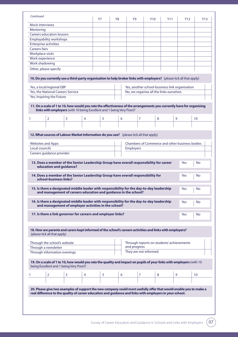|                              |                                                                                                                                                                                                                               |   |   | Y7 | Y8 |                  | Y <sub>10</sub>                                |   |   | Y12 | Y13       |
|------------------------------|-------------------------------------------------------------------------------------------------------------------------------------------------------------------------------------------------------------------------------|---|---|----|----|------------------|------------------------------------------------|---|---|-----|-----------|
| <b>Mock interviews</b>       |                                                                                                                                                                                                                               |   |   |    |    |                  |                                                |   |   |     |           |
| Mentoring                    |                                                                                                                                                                                                                               |   |   |    |    |                  |                                                |   |   |     |           |
|                              | <b>Careers education lessons</b>                                                                                                                                                                                              |   |   |    |    |                  |                                                |   |   |     |           |
|                              | <b>Employability workshops</b>                                                                                                                                                                                                |   |   |    |    |                  |                                                |   |   |     |           |
| <b>Enterprise activities</b> |                                                                                                                                                                                                                               |   |   |    |    |                  |                                                |   |   |     |           |
| <b>Careers fairs</b>         |                                                                                                                                                                                                                               |   |   |    |    |                  |                                                |   |   |     |           |
| Workplace visits             |                                                                                                                                                                                                                               |   |   |    |    |                  |                                                |   |   |     |           |
| Work experience              |                                                                                                                                                                                                                               |   |   |    |    |                  |                                                |   |   |     |           |
| Work shadowing               |                                                                                                                                                                                                                               |   |   |    |    |                  |                                                |   |   |     |           |
|                              | Other, please specify                                                                                                                                                                                                         |   |   |    |    |                  |                                                |   |   |     |           |
|                              | 10. Do you currently use a third-party organisation to help broker links with employers? (please tick all that apply)                                                                                                         |   |   |    |    |                  |                                                |   |   |     |           |
|                              | Yes, a local/regional EBP                                                                                                                                                                                                     |   |   |    |    |                  | Yes, another school-business link organisation |   |   |     |           |
|                              | Yes, the National Careers Service                                                                                                                                                                                             |   |   |    |    |                  | No, we organise all the links ourselves        |   |   |     |           |
|                              | Yes, Inspiring the Future                                                                                                                                                                                                     |   |   |    |    |                  |                                                |   |   |     |           |
|                              |                                                                                                                                                                                                                               |   |   |    |    |                  |                                                |   |   |     |           |
| 1                            | links with employers (with 10 being Excellent and 1 being Very Poor)?<br>$\overline{2}$                                                                                                                                       | 3 | 4 | 5  | 6  |                  | 7                                              | 8 | 9 |     | 10        |
|                              |                                                                                                                                                                                                                               |   |   |    |    |                  |                                                |   |   |     |           |
|                              | 12. What sources of Labour Market Information do you use? (please tick all that apply)                                                                                                                                        |   |   |    |    |                  |                                                |   |   |     |           |
| <b>Websites and Apps</b>     |                                                                                                                                                                                                                               |   |   |    |    |                  | Chambers of Commerce and other business bodies |   |   |     |           |
| Local councils               |                                                                                                                                                                                                                               |   |   |    |    | <b>Employers</b> |                                                |   |   |     |           |
|                              |                                                                                                                                                                                                                               |   |   |    |    |                  |                                                |   |   |     |           |
|                              | Careers guidance provider<br>13. Does a member of the Senior Leadership Group have overall responsibility for career<br>education and guidance?                                                                               |   |   |    |    |                  |                                                |   |   | Yes | No        |
|                              | 14. Does a member of the Senior Leadership Group have overall responsibility for<br>school-business links?                                                                                                                    |   |   |    |    |                  |                                                |   |   | Yes | <b>No</b> |
|                              | 15. Is there a designated middle leader with responsibility for the day-to-day leadership<br>and management of careers education and guidance in the school?                                                                  |   |   |    |    |                  |                                                |   |   | Yes | No        |
|                              | 16. Is there a designated middle leader with responsibility for the day-to-day leadership<br>and management of employer activities in the school?                                                                             |   |   |    |    |                  |                                                |   |   | Yes | No        |
|                              | 17. Is there a link governor for careers and employer links?                                                                                                                                                                  |   |   |    |    |                  |                                                |   |   | Yes | No        |
|                              |                                                                                                                                                                                                                               |   |   |    |    |                  |                                                |   |   |     |           |
|                              | 18. How are parents and carers kept informed of the school's careers activities and links with employers?<br>(please tick all that apply)                                                                                     |   |   |    |    |                  |                                                |   |   |     |           |
|                              | Through the school's website                                                                                                                                                                                                  |   |   |    |    |                  | Through reports on students' achievements      |   |   |     |           |
|                              | Through a newsletter                                                                                                                                                                                                          |   |   |    |    | and progress     |                                                |   |   |     |           |
|                              | Through information evenings                                                                                                                                                                                                  |   |   |    |    |                  | They are not informed                          |   |   |     |           |
|                              |                                                                                                                                                                                                                               |   |   |    |    |                  |                                                |   |   |     |           |
|                              | 19. On a scale of 1 to 10, how would you rate the quality and impact on pupils of your links with employers (with 10<br>being Excellent and 1 being Very Poor)?                                                               |   |   |    |    |                  |                                                |   |   |     |           |
|                              | $\overline{2}$                                                                                                                                                                                                                | 3 | 4 | 5  | 6  |                  | 7                                              | 8 | 9 |     | 10        |
|                              |                                                                                                                                                                                                                               |   |   |    |    |                  |                                                |   |   |     |           |
| 1                            |                                                                                                                                                                                                                               |   |   |    |    |                  |                                                |   |   |     |           |
|                              | 20. Please give two examples of support the new company could most usefully offer that would enable you to make a<br>real difference to the quality of career education and guidance and links with employers in your school. |   |   |    |    |                  |                                                |   |   |     |           |